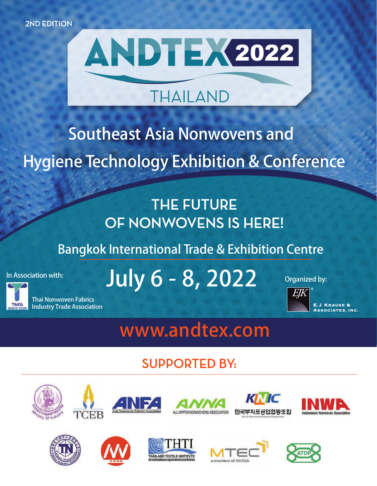

# **THAILAND**

# **Southeast Asia Nonwovens and Hygiene Technology Exhibition & Conference**

# **THE FUTURE** OF NONWOVENS IS HERE!

Bangkok International Trade & Exhibition Centre

In Association with:



Thai Nonwoven Fabrics Industry Trade Association

# July 6 - 8, 2022 Organized by:

**E.J. KRAUSE & SSOCIATES, INC.** 

# **www.andtex.com**

# **SUPPORTED BY:**





















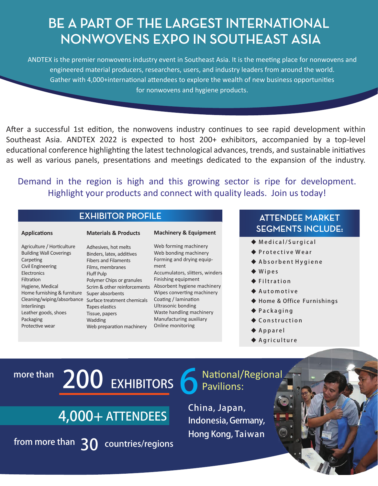# BE A PART OF THE LARGEST INTERNATIONAL NONWOVENS EXPO IN SOUTHEAST ASIA

ANDTEX is the premier nonwovens industry event in Southeast Asia. It is the meeting place for nonwovens and engineered material producers, researchers, users, and industry leaders from around the world. Gather with 4,000+international attendees to explore the wealth of new business opportunities for nonwovens and hygiene products.

After a successful 1st edition, the nonwovens industry continues to see rapid development within Southeast Asia. ANDTEX 2022 is expected to host 200+ exhibitors, accompanied by a top-level educational conference highlighting the latest technological advances, trends, and sustainable initiatives as well as various panels, presentations and meetings dedicated to the expansion of the industry.

Demand in the region is high and this growing sector is ripe for development. Highlight your products and connect with quality leads. Join us today!

#### **EXHIBITOR PROFILE**

#### **Applications**

**Materials & Products**

#### **Machinery & Equipment**

Agriculture / Horticulture Building Wall Coverings Carpeting Civil Engineering **Electronics** Filtration Hygiene, Medical Home furnishing & furniture Super absorbents Interlinings Leather goods, shoes Packaging Protective wear

Cleaning/wiping/absorbance Surface treatment chemicals Adhesives, hot melts Binders, latex, additives Fibers and Filaments Films, membranes Fluff Pulp Polymer Chips or granules **T**apes elastics Tissue, papers Wadding Web preparation machinery

Scrim & other reinforcements Absorbent hygiene machinery Web forming machinery Web bonding machinery Forming and drying equipment Accumulators, slitters, winders Finishing equipment Wipes converting machinery Coating / lamination Ultrasonic bonding Waste handling machinery Manufacturing auxiliary Online monitoring

#### **ATTENDEE MARKET SEGMENTS INCLUDE:**

- ◆ Medical/Surgical
- ◆ Protective Wear
- ◆ Absorbent Hygiene
- $\blacklozenge$  Wipes
- $\triangle$  Filtration
- ◆ Automotive
- ◆ Home & Office Furnishings
- ◆ Packaging
- ◆ Construction
- $\blacklozenge$  Apparel
- $\blacklozenge$  Agriculture

# more than  $200$  EXHIBITORS

# 4,000+ ATTENDEES

from more than  $30$  countries/regions

National/Regional Pavilions:

China, Japan, Indonesia, Germany, Hong Kong, Taiwan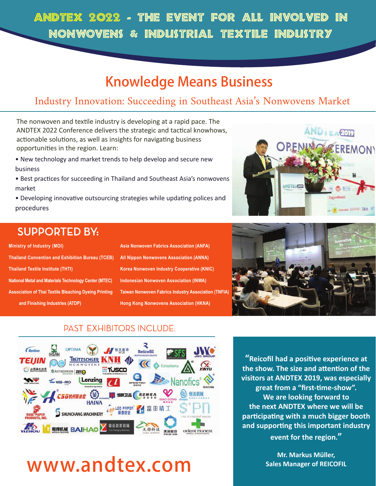# ANDTEX 2022 - THE EVENT FOR ALL INVOLVED IN NONWOVENS & INDUSTRIAL TEXTILE INDUSTRY

# Knowledge Means Business

## Industry Innovation: Succeeding in Southeast Asia's Nonwovens Market

The nonwoven and textile industry is developing at a rapid pace. The ANDTEX 2022 Conference delivers the strategic and tactical knowhows, actionable solutions, as well as insights for navigating business opportunities in the region. Learn:

- New technology and market trends to help develop and secure new business
- Best practices for succeeding in Thailand and Southeast Asia's nonwovens market
- Developing innovative outsourcing strategies while updating polices and procedures



# **SUPPORTED BY:**

**Ministry of Industry (MOI) Thailand Convention and Exhibition Bureau (TCEB) Thailand Textile Institute (THTI) National Metal and Materials Technology Center (MTEC) Association of Thai Textile Bleaching Dyeing Printing and Finishing Industries (ATDP)**

| Asia Nonwoven Fabrics Association (ANFA)                    |
|-------------------------------------------------------------|
| <b>All Nippon Nonwovens Association (ANNA)</b>              |
| Korea Nonwoven Industry Cooperative (KNIC)                  |
| <b>Indonesian Nonwoven Association (INWA)</b>               |
| <b>Taiwan Nonwoven Fabrics Industry Association (TNFIA)</b> |
| <b>Hong Kong Nonwovens Association (HKNA)</b>               |



### **PAST EXHIBITORS INCLUDE:**



# **www.andtex.com**

**"Reicofil had a positive experience at the show. The size and attention of the visitors at ANDTEX 2019, was especially great from a "first-time-show". We are looking forward to the next ANDTEX where we will be participating with a much bigger booth and supporting this important industry event for the region."** 

> **Mr. Markus Müller, Sales Manager of REICOFIL**